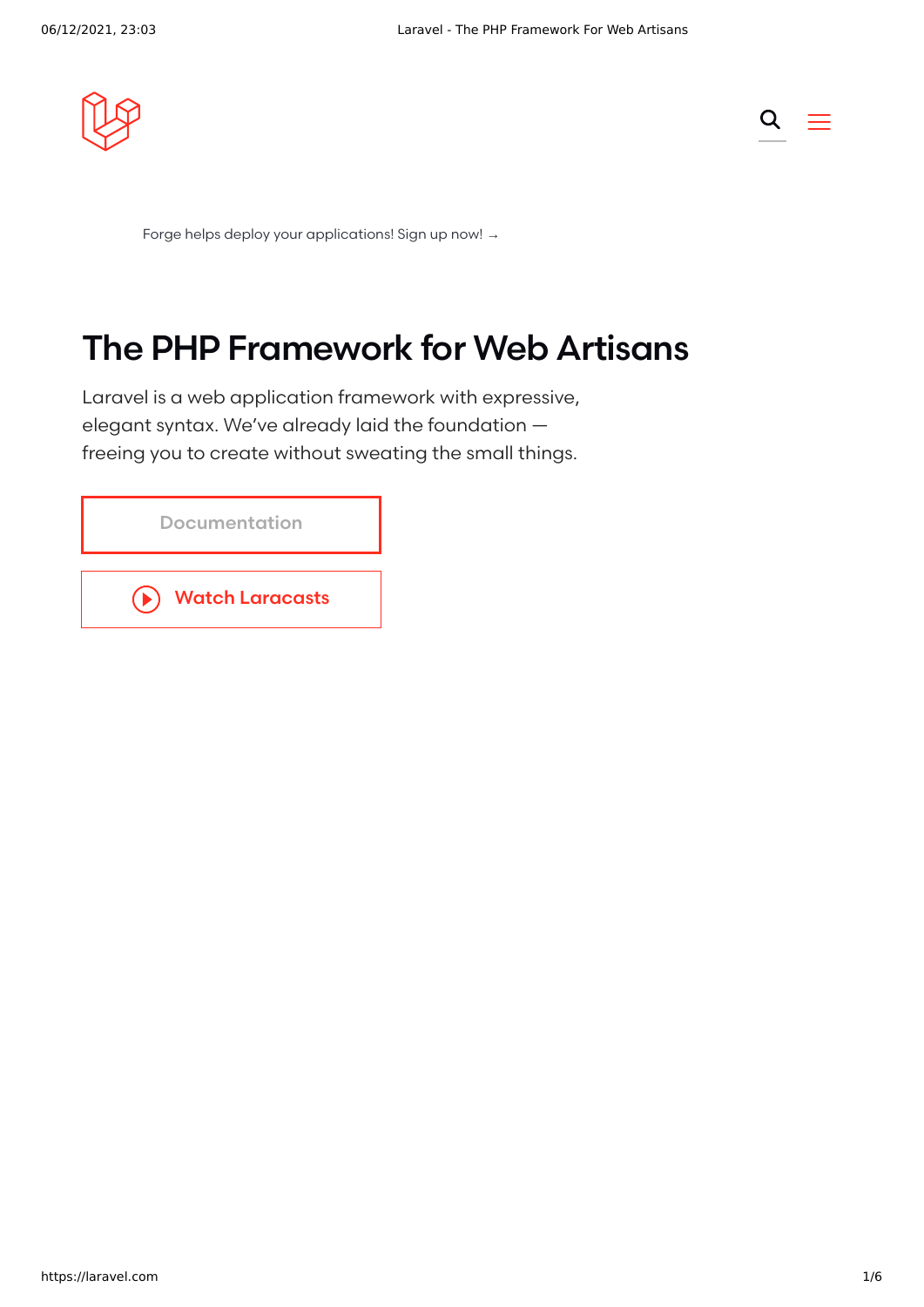



Forge helps deploy your [applications!](https://forge.laravel.com/) Sign up now! →

# The PHP Framework for Web Artisans

Laravel is a web application framework with expressive, elegant syntax. We've already laid the foundation freeing you to create without sweating the small things.

| Documentation                                     |
|---------------------------------------------------|
| <b>Watch Laracasts</b><br>$(\blacktriangleright)$ |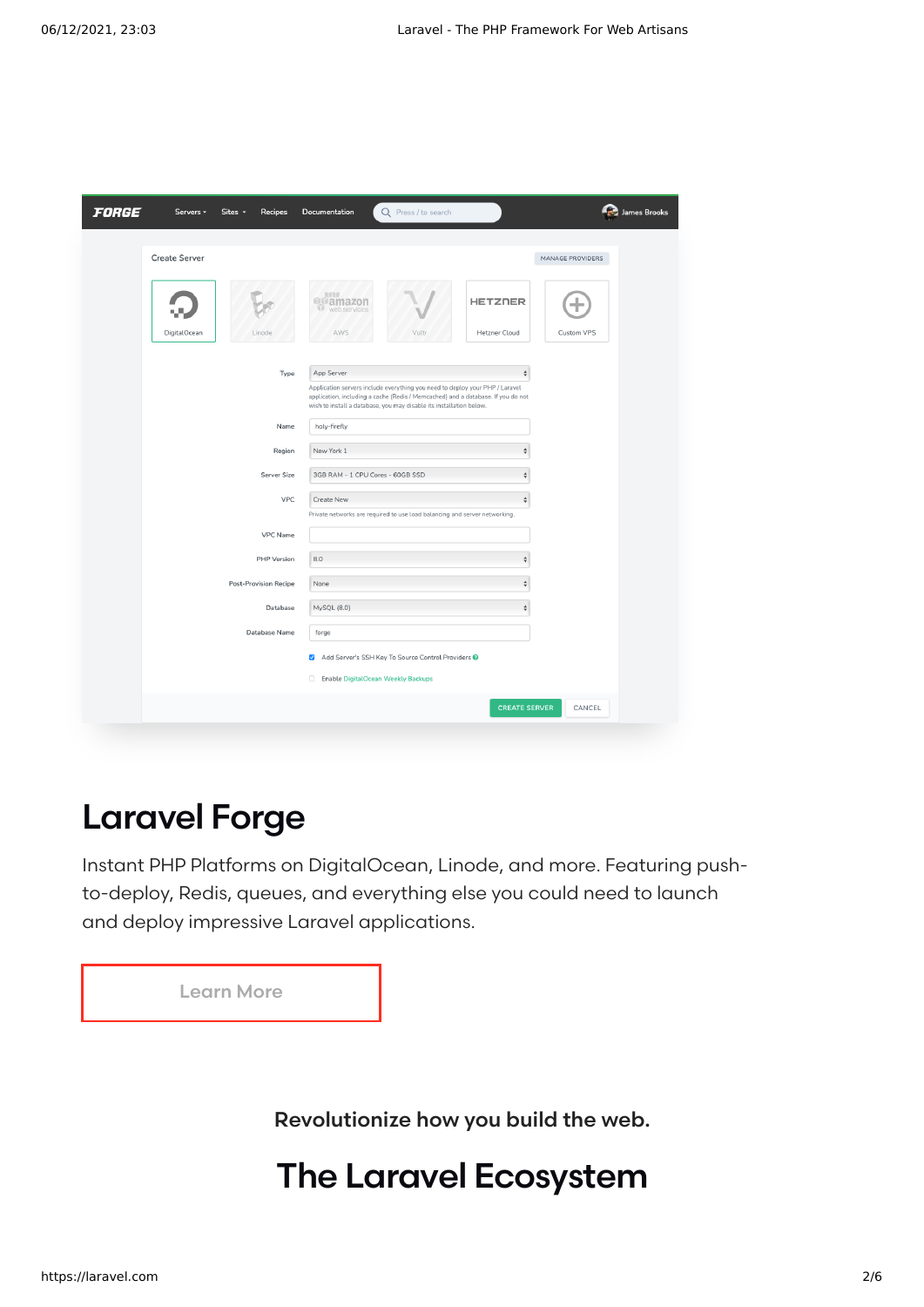| <b>FORGE</b> | Servers -            | Sites -<br><b>Recipes</b>    | Documentation                                   | Q Press / to search                                                                                                                                                                                                                     |                                        |                  | James Brooks |
|--------------|----------------------|------------------------------|-------------------------------------------------|-----------------------------------------------------------------------------------------------------------------------------------------------------------------------------------------------------------------------------------------|----------------------------------------|------------------|--------------|
|              | <b>Create Server</b> |                              |                                                 |                                                                                                                                                                                                                                         |                                        | MANAGE PROVIDERS |              |
|              | DigitalOcean         | Linode                       | al III d<br>mamazon<br>ω<br>web services<br>AWS | Vultr                                                                                                                                                                                                                                   | <b>HETZNER</b><br><b>Hetzner Cloud</b> | Custom VPS       |              |
|              |                      | Type                         | App Server                                      |                                                                                                                                                                                                                                         | ÷                                      |                  |              |
|              |                      |                              |                                                 | Application servers include everything you need to deploy your PHP / Laravel<br>application, including a cache (Redis / Memcached) and a database. If you do not<br>wish to install a database, you may disable its installation below. |                                        |                  |              |
|              |                      | Name                         | holy-firefly                                    |                                                                                                                                                                                                                                         |                                        |                  |              |
|              |                      | Region                       | New York 1                                      |                                                                                                                                                                                                                                         | A                                      |                  |              |
|              |                      | Server Size                  | 3GB RAM - 1 CPU Cores - 60GB SSD                |                                                                                                                                                                                                                                         | è                                      |                  |              |
|              |                      | <b>VPC</b>                   | Create New                                      | Private networks are required to use load balancing and server networking.                                                                                                                                                              | $\stackrel{\mathtt{a}}{\mathtt{v}}$    |                  |              |
|              |                      | VPC Name                     |                                                 |                                                                                                                                                                                                                                         |                                        |                  |              |
|              |                      | PHP Version                  | 8.0                                             |                                                                                                                                                                                                                                         | ć                                      |                  |              |
|              |                      | <b>Post-Provision Recipe</b> | None                                            |                                                                                                                                                                                                                                         | ¢                                      |                  |              |
|              |                      | Database                     | MySQL (8.0)                                     |                                                                                                                                                                                                                                         | ÷                                      |                  |              |
|              |                      | Database Name                | forge                                           |                                                                                                                                                                                                                                         |                                        |                  |              |
|              |                      |                              | $\overline{\mathsf{S}}$                         | Add Server's SSH Key To Source Control Providers @                                                                                                                                                                                      |                                        |                  |              |
|              |                      |                              | Enable DigitalOcean Weekly Backups              |                                                                                                                                                                                                                                         |                                        |                  |              |
|              |                      |                              |                                                 |                                                                                                                                                                                                                                         | <b>CREATE SERVER</b>                   | CANCEL           |              |
|              |                      |                              |                                                 |                                                                                                                                                                                                                                         |                                        |                  |              |

### Laravel Forge

Instant PHP Platforms on DigitalOcean, Linode, and more. Featuring pushto-deploy, Redis, queues, and everything else you could need to launch and deploy impressive Laravel applications.

| <b>Learn More</b> |  |
|-------------------|--|
|                   |  |

Revolutionize how you build the web.

## The Laravel Ecosystem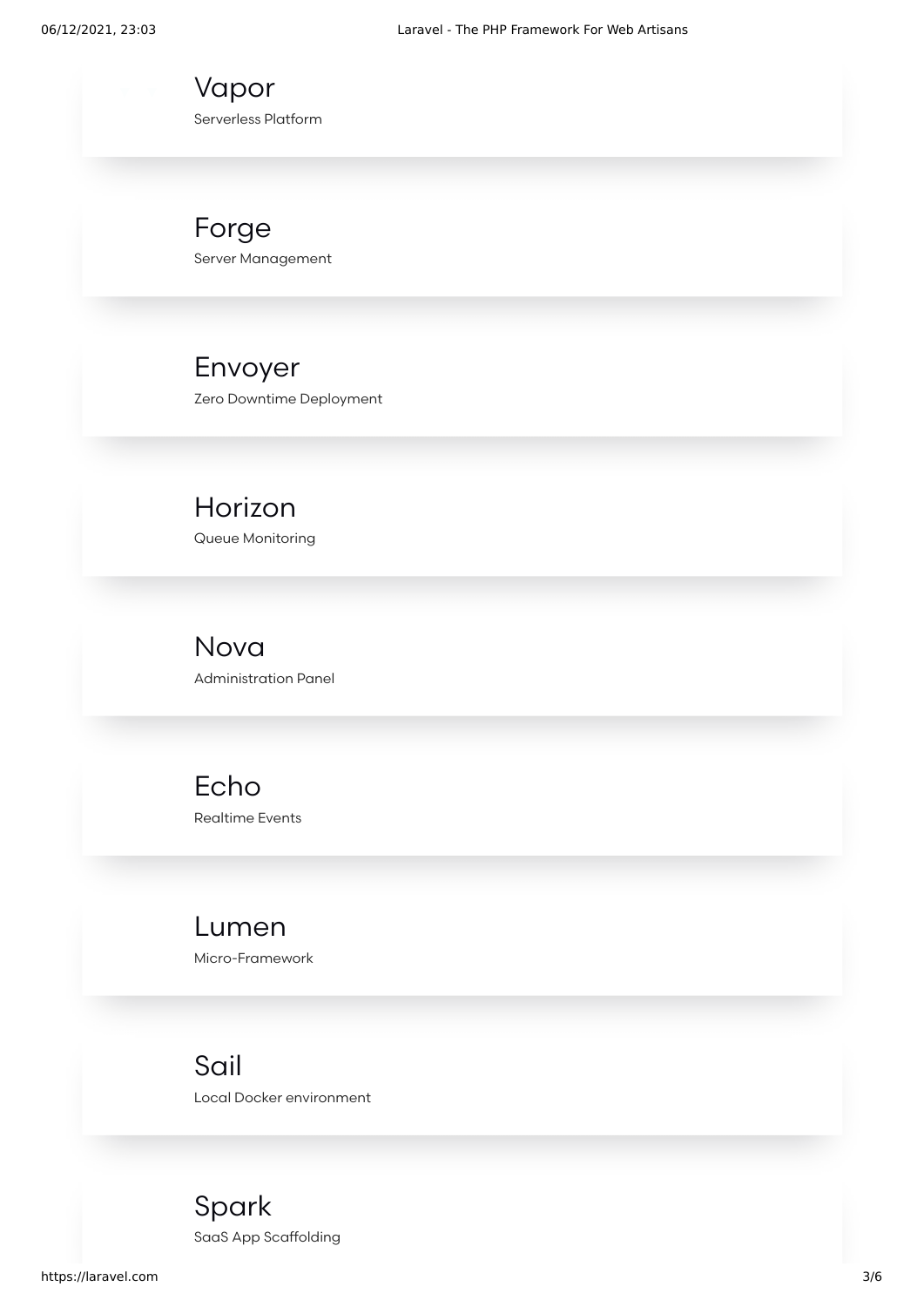[Vapor](https://vapor.laravel.com/) Serverless Platform

[Forge](https://forge.laravel.com/) Server Management

[Envoyer](https://envoyer.io/) Zero Downtime Deployment

[Horizon](https://laravel.com/docs/8.x/horizon) Queue Monitoring

[Nova](https://nova.laravel.com/) Administration Panel

[Echo](https://laravel.com/docs/8.x/broadcasting) Realtime Events

[Lumen](https://lumen.laravel.com/) Micro-Framework

[Sail](https://laravel.com/docs/8.x/sail) Local Docker environment

[Spark](https://spark.laravel.com/) SaaS App Scaffolding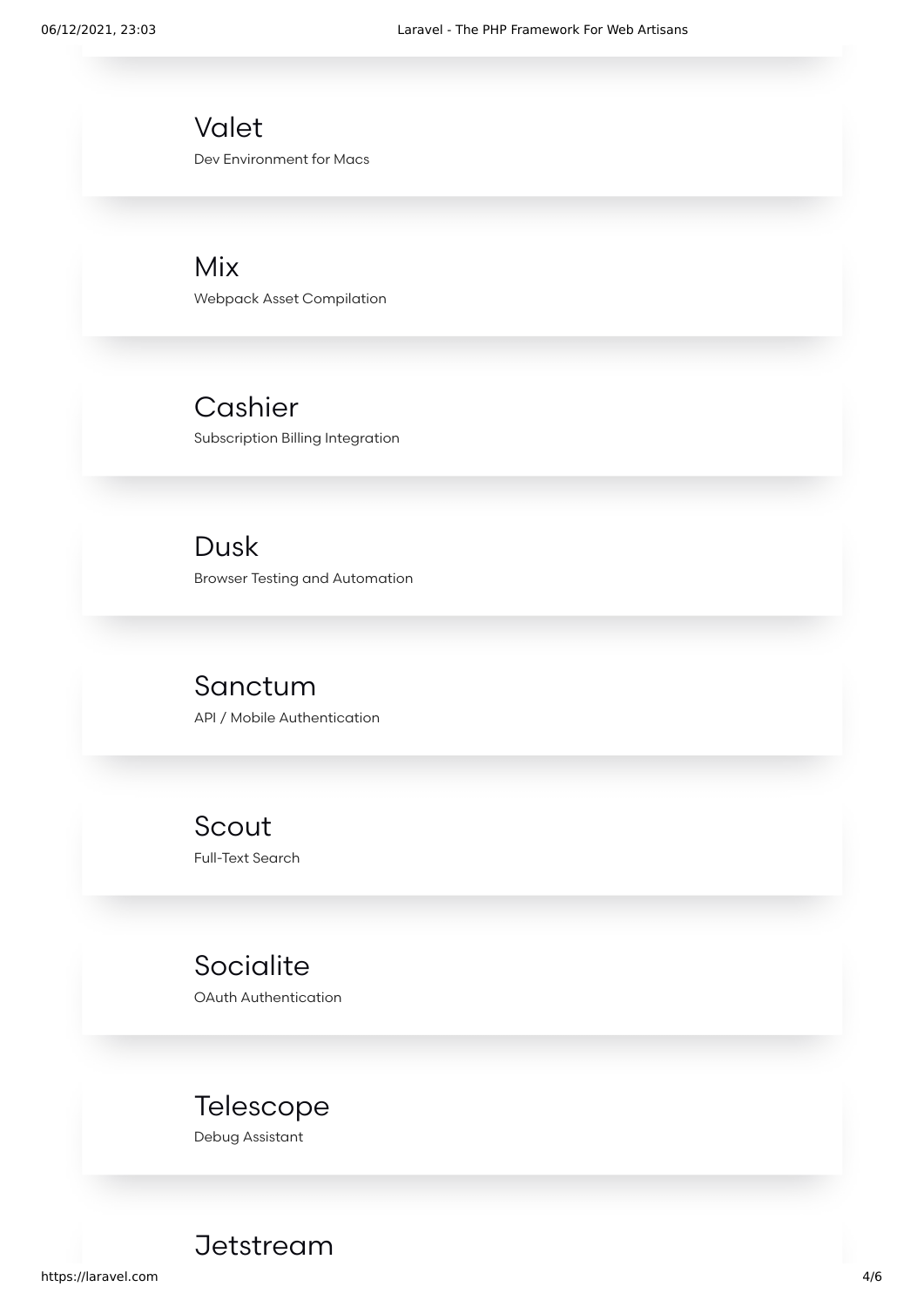[Valet](https://laravel.com/docs/8.x/valet) Dev Environment for Macs

[Mix](https://laravel.com/docs/8.x/mix) Webpack Asset Compilation

[Cashier](https://laravel.com/docs/8.x/billing) Subscription Billing Integration

[Dusk](https://laravel.com/docs/8.x/dusk) Browser Testing and Automation

[Sanctum](https://laravel.com/docs/8.x/sanctum) API / Mobile Authentication

[Scout](https://laravel.com/docs/8.x/scout) Full-Text Search

**[Socialite](https://laravel.com/docs/8.x/socialite)** OAuth Authentication

### [Telescope](https://laravel.com/docs/8.x/telescope)

Debug Assistant

**[Jetstream](https://jetstream.laravel.com/)**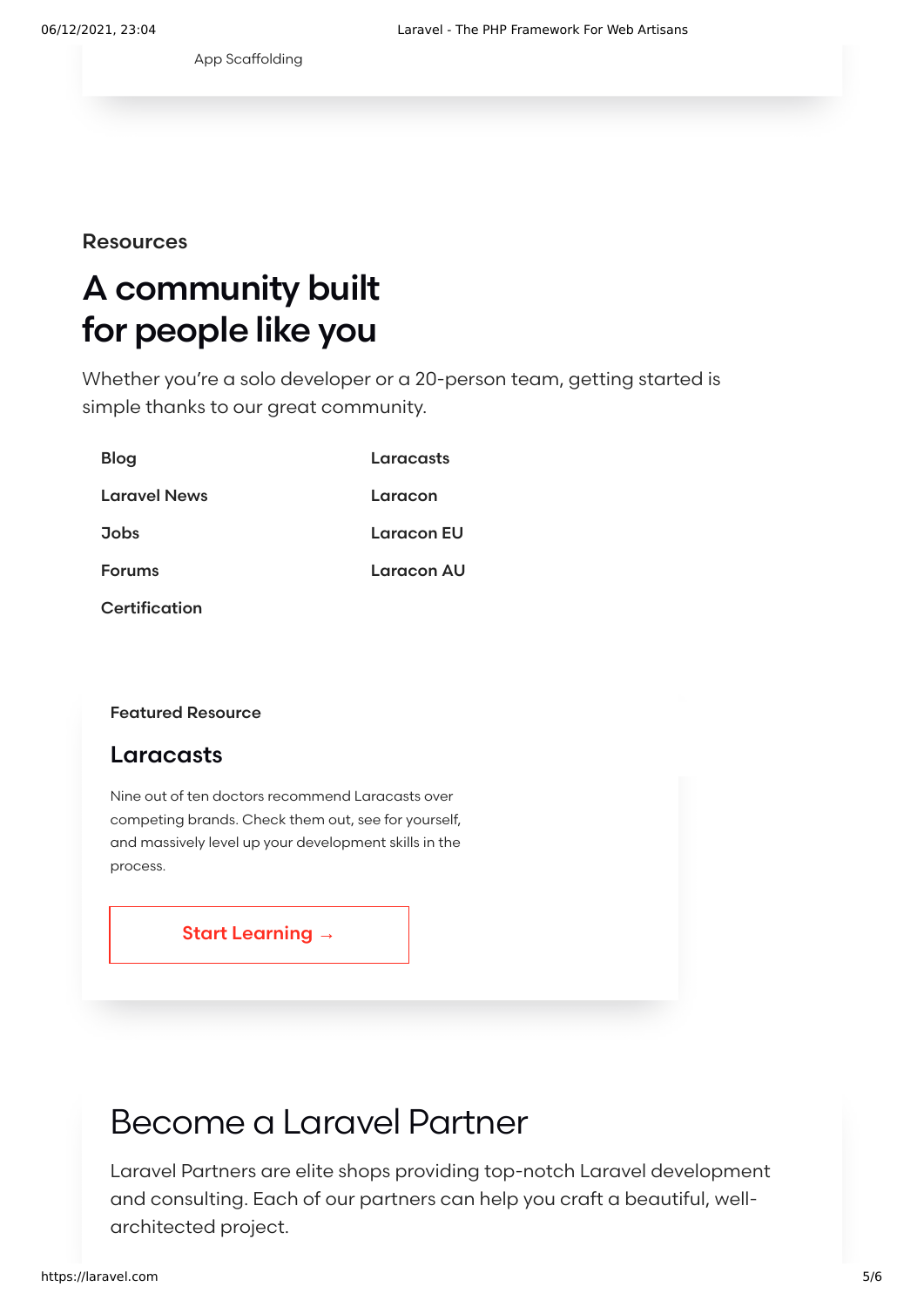App [Scaffolding](https://jetstream.laravel.com/)

#### **Resources**

# A community built for people like you

Whether you're a solo developer or a 20-person team, getting started is simple thanks to our great community.

| <b>Blog</b>         | Laracasts         |
|---------------------|-------------------|
| <b>Laravel News</b> | Laracon           |
| <b>Jobs</b>         | <b>Laracon EU</b> |
| <b>Forums</b>       | Laracon AU        |
| Certification       |                   |

#### Featured Resource

### Laracasts

Nine out of ten doctors recommend Laracasts over competing brands. Check them out, see for yourself, and massively level up your development skills in the process.

Start [Learning](https://laracasts.com/) →

## Become a Laravel Partner

Laravel Partners are elite shops providing top-notch Laravel development and consulting. Each of our partners can help you craft a beautiful, wellarchitected project.